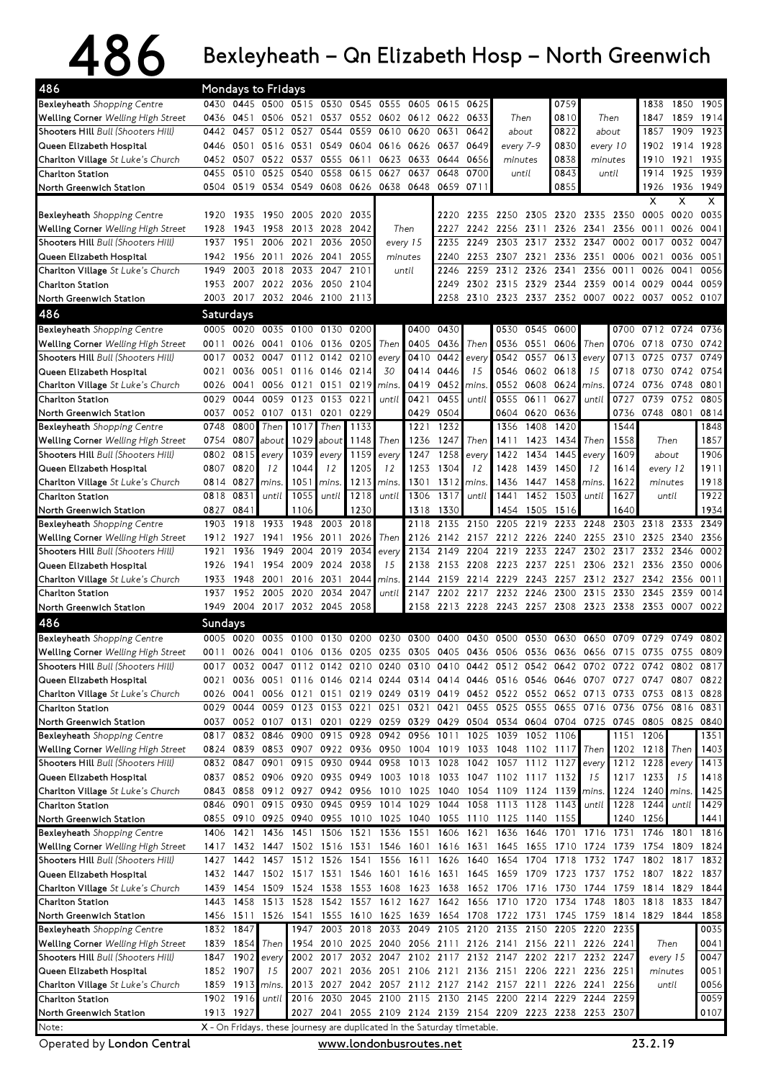## $486$  Bexleyheath – Qn Elizabeth Hosp – North Greenwich

| 486                                       |                |                 | Mondays to Fridays                 |                          |                |           |                                                                                           |           |                     |       |                          |           |                                    |         |                |                     |       |           |
|-------------------------------------------|----------------|-----------------|------------------------------------|--------------------------|----------------|-----------|-------------------------------------------------------------------------------------------|-----------|---------------------|-------|--------------------------|-----------|------------------------------------|---------|----------------|---------------------|-------|-----------|
| Bexleyheath Shopping Centre               |                |                 |                                    |                          |                |           | 0430 0445 0500 0515 0530 0545 0555 0605 0615 0625                                         |           |                     |       |                          |           | 0759                               |         |                | 1838                |       | 1850 1905 |
| Welling Corner Welling High Street        |                | 0436 0451       |                                    | 0506 0521                |                |           | 0537 0552 0602 0612 0622                                                                  |           |                     | 0633  | Then                     |           | 0810                               |         | Then           | 1847                | 1859  | 1914      |
| Shooters Hill Bull (Shooters Hill)        | 0442           | 0457            |                                    | 0512 0527                | 0544           | 0559      | 0610                                                                                      | 0620      | 0631                | 0642  | about                    |           | 0822                               |         | about          | 1857                | 1909  | 1923      |
| Queen Elizabeth Hospital                  | 0446           | 0501            |                                    | 0516 0531                | 0549           | 0604      | 0616                                                                                      | 0626 0637 |                     | 0649  | every 7-9                |           | 0830                               |         | every 10       | 1902                | 1914  | 1928      |
| Charlton Village St Luke's Church         |                | 0452 0507       | 0522                               | 0537                     | 0555           | 0611      | 0623                                                                                      | 0633      | 0644                | 0656  | minutes                  |           | 0838                               | minutes |                | 1910                | 1921  | 1935      |
| Charlton Station                          | 0455           | 0510            | 0525                               | 0540                     | 0558           | 0615      | 0627                                                                                      | 0637      | 0648                | 0700  |                          | until     | 0843                               |         | until          | 1914                | 1925  | 1939      |
| North Greenwich Station                   |                |                 | 0504 0519 0534 0549 0608 0626 0638 |                          |                |           |                                                                                           | 0648      | 0659 0711           |       |                          |           | 0855                               |         |                | 1926                |       | 1936 1949 |
|                                           |                |                 |                                    |                          |                |           |                                                                                           |           |                     |       |                          |           |                                    |         |                | X                   | x     | x         |
| <b>Bexleyheath</b> Shopping Centre        | 1920           | 1935            | 1950                               | 2005                     | 2020           | 2035      |                                                                                           |           | 2220                | 2235  |                          |           | 2250 2305 2320 2335 2350 0005      |         |                |                     | 0020  | 0035      |
| Welling Corner Welling High Street        | 1928           | 1943            | 1958                               | 2013                     | 2028           | 2042      |                                                                                           | Then      | 2227                | 2242  |                          | 2256 2311 | 2326                               | 2341    |                | 2356 0011           | 0026  | 0041      |
| Shooters Hill Bull (Shooters Hill)        | 1937           | 1951            | 2006                               | 2021                     | 2036           | 2050      | every 15                                                                                  |           | 2235                | 2249  | 2303                     | 2317      | 2332                               | 2347    | 0002           | 0017                | 0032  | 0047      |
| Queen Elizabeth Hospital                  | 1942           | 1956            | 2011                               | 2026                     | 2041           | 2055      | minutes                                                                                   |           | 2240                | 2253  | 2307                     | 2321      | 2336                               | 2351    | 0006 0021      |                     | 0036  | 0051      |
| Charlton Village St Luke's Church         | 1949           | 2003            | 2018                               | 2033                     | 2047           | 2101      | until                                                                                     |           | 2246                | 2259  | 2312                     | 2326      | 2341                               | 2356    | 0011           | 0026                | 0041  | 0056      |
| Charlton Station                          | 1953           | 2007            | 2022                               | 2036                     | 2050           | 2104      |                                                                                           |           | 2249                |       | 2302 2315                | 2329      | 2344                               | 2359    | 0014           | 0029                | 0044  | 0059      |
| North Greenwich Station                   | 2003           | 2017            |                                    | 2032 2046 2100 2113      |                |           |                                                                                           |           | 2258                |       | 2310 2323 2337 2352      |           |                                    | 0007    | 0022           | 0037                | 0052  | 0107      |
| 486                                       | Saturdays      |                 |                                    |                          |                |           |                                                                                           |           |                     |       |                          |           |                                    |         |                |                     |       |           |
| Bexleyheath Shopping Centre               |                | 0005 0020       | 0035                               | 0100                     | 0130           | 0200      |                                                                                           | 0400      | 0430                |       | 0530                     | 0545      | 0600                               |         | 0700           | 0712 0724           |       | 0736      |
| <b>Welling Corner Welling High Street</b> | 0011           | 0026            | 0041                               | 0106 0136                |                | 0205      | Then                                                                                      | 0405      | 0436                | Then  |                          | 0536 0551 | 0606                               | Then    | 0706           | 0718                | 0730  | 0742      |
| Shooters Hill Bull (Shooters Hill)        | 0017           |                 | 0032 0047                          |                          | 0112 0142 0210 |           | every                                                                                     | 0410      | 0442                | every |                          | 0542 0557 | 0613                               | every   |                | 0713 0725           | 0737  | 0749      |
| Queen Elizabeth Hospital                  | 0021           | 0036            |                                    | 0051 0116 0146 0214      |                |           | 30                                                                                        | 0414      | 0446                | 15    | 0546                     | 0602      | 0618                               | 15      | 0718           | 0730                | 0742  | 0754      |
| Charlton Village St Luke's Church         | 0026           | 0041            |                                    | 0056 0121                | 0151           | 0219      | mins.                                                                                     | 0419      | 0452                | mins. |                          | 0552 0608 | 0624                               | mins.   |                | 0724 0736           | 0748  | 0801      |
| Charlton Station                          | 0029           | 0044            | 0059                               | 0123                     | 0153           | 022       | until                                                                                     | 0421      | 0455                | until | 0555                     | 0611      | 0627                               | until   | 0727           | 0739                | 0752  | 0805      |
| North Greenwich Station                   | 0037           | 0052            | 0107                               | 0131                     | 0201           | 0229      |                                                                                           | 0429      | 0504                |       | 0604                     | 0620      | 0636                               |         | 0736           | 0748 0801           |       | 0814      |
| Bexleyheath Shopping Centre               | 0748           | 0800            | Then                               | 1017                     | Then           | 1133      |                                                                                           | 1221      | 1232                |       | 1356                     | 1408      | 1420                               |         | 1544           |                     |       | 1848      |
| <b>Welling Corner</b> Welling High Street | 0754           | 0807            | about                              | 1029                     | about          | 1148      | Then                                                                                      | 1236      | 1247                | Then  | 1411                     | 1423      | 1434                               | Then    | 1558           | Then                |       | 1857      |
| Shooters Hill Bull (Shooters Hill)        | 0802           | 0815            | every                              | 1039                     | every          | 1159      | every                                                                                     | 1247      | 1258                | every | 1422                     | 1434      | 1445                               | every   | 1609           | about               |       | 1906      |
| Queen Elizabeth Hospital                  | 0807           | 0820            | 12                                 | 1044                     | 12             | 1205      | 12                                                                                        | 1253      | 1304                | 12    | 1428                     | 1439      | 1450                               | 12      | 1614           | every 12            |       | 1911      |
| Charlton Village St Luke's Church         | 0814           | 0827            | mins.                              | 1051                     | mins.          | 1213      | mins.                                                                                     | 1301      | 1312                | mins. | 1436                     | 1447      | 1458                               | mins.   | 1622           | minutes             |       | 1918      |
| Charlton Station                          | 0818           | 0831            | until                              | 1055                     | until          | 1218      | until                                                                                     | 1306      | 1317                | until | 1441                     |           | 1452 1503                          | until   | 1627           | until               |       | 1922      |
| North Greenwich Station                   | 0827           | 0841            |                                    | 1106                     |                | 1230      |                                                                                           | 1318      | 1330                |       | 1454                     | 1505      | 1516                               |         | 1640           |                     |       | 1934      |
| Bexleyheath Shopping Centre               | 1903           | 1918            | 1933                               | 1948                     | 2003           | 2018      |                                                                                           | 2118      | 2135                | 2150  | 2205                     | 2219      | 2233                               | 2248    | 2303           | 2318                | 2333  | 2349      |
| <b>Welling Corner</b> Welling High Street | 1912           | 1927            | 1941                               | 1956                     | 2011           | 2026      | Then                                                                                      | 2126      | 2142                | 2157  | 2212                     | 2226      | 2240                               | 2255    | 2310           | 2325                | 2340  | 2356      |
| Shooters Hill Bull (Shooters Hill)        | 1921           | 1936            | 1949                               | 2004                     | 2019           | 2034      | every                                                                                     | 2134      | 2149                | 2204  | 2219                     | 2233      | 2247                               | 2302    | 2317           | 2332                | 2346  | 0002      |
| Queen Elizabeth Hospital                  | 1926           | 1941            | 1954                               | 2009                     | 2024           | 2038      | 15                                                                                        |           | 2138 2153 2208      |       | 2223 2237 2251           |           |                                    | 2306    | 2321           | 2336                | 2350  | 0006      |
| Charlton Village St Luke's Church         | 1933           | 1948            | 2001                               | 2016                     | 2031           | 2044      | mins.                                                                                     |           | 2144 2159 2214 2229 |       |                          |           | 2243 2257                          | 2312    | 2327 2342      |                     | 2356  | 0011      |
| Charlton Station                          | 1937           | 1952            | 2005 2020                          |                          | 2034           | 2047      | until                                                                                     | 2147      |                     |       | 2202 2217 2232 2246 2300 |           |                                    | 2315    | 2330 2345      |                     | 2359  | 0014      |
| North Greenwich Station                   |                |                 | 1949 2004 2017 2032 2045           |                          |                | 2058      |                                                                                           |           | 2158 2213 2228      |       | 2243 2257 2308           |           |                                    |         | 2323 2338 2353 |                     | 0007  | 0022      |
| 486                                       | <b>Sundays</b> |                 |                                    |                          |                |           |                                                                                           |           |                     |       |                          |           |                                    |         |                |                     |       |           |
| Bexleyheath Shopping Centre               |                |                 |                                    |                          |                |           | 0005 0020 0035 0100 0130 0200 0230 0300 0400 0430 0500 0530 0630 0650 0709 0729 0749 0802 |           |                     |       |                          |           |                                    |         |                |                     |       |           |
| Welling Corner Welling High Street        |                |                 |                                    |                          |                |           | 0011 0026 0041 0106 0136 0205 0235 0305 0405 0436 0506 0536 0636 0656 0715 0735 0755 0809 |           |                     |       |                          |           |                                    |         |                |                     |       |           |
| Shooters Hill Bull (Shooters Hill)        | 0017           |                 |                                    |                          |                |           | 0032 0047 0112 0142 0210 0240 0310 0410 0442 0512 0542 0642 0702 0722 0742 0802 0817      |           |                     |       |                          |           |                                    |         |                |                     |       |           |
| Queen Elizabeth Hospital                  | 0021           |                 |                                    |                          |                |           | 0036 0051 0116 0146 0214 0244 0314 0414 0446                                              |           |                     |       |                          |           | 0516 0546 0646 0707 0727 0747 0807 |         |                |                     |       | 0822      |
| <b>Charlton Village</b> St Luke's Church  |                | 0026 0041       |                                    |                          |                |           | 0056 0121 0151 0219 0249 0319 0419 0452 0522 0552 0652 0713                               |           |                     |       |                          |           |                                    |         |                | 0733 0753 0813 0828 |       |           |
| Charlton Station                          |                |                 |                                    |                          |                |           | 0029 0044 0059 0123 0153 0221 0251 0321 0421 0455 0525 0555 0655 0716 0736 0756 0816      |           |                     |       |                          |           |                                    |         |                |                     |       | 0831      |
| North Greenwich Station                   |                |                 |                                    |                          |                |           | 0037 0052 0107 0131 0201 0229 0259 0329 0429 0504 0534 0604 0704 0725                     |           |                     |       |                          |           |                                    |         |                | 0745 0805 0825 0840 |       |           |
| <b>Bexleyheath</b> Shopping Centre        | 0817           | 0832            | 0846                               | 0900                     |                | 0915 0928 | 0942 0956                                                                                 |           | 1011                | 1025  | 1039                     |           | 1052 1106                          |         | 1151           | 1206                |       | 1351      |
| <b>Welling Corner</b> Welling High Street |                |                 | 0824 0839 0853 0907 0922 0936 0950 |                          |                |           |                                                                                           |           |                     |       |                          |           | 1004 1019 1033 1048 1102 1117      | Then    |                | 1202 1218           | Then  | 1403      |
| Shooters Hill Bull (Shooters Hill)        |                | 0832 0847       | 0901                               | 0915                     | 0930           | 0944      | 0958                                                                                      |           | 1013 1028           |       |                          |           | 1042 1057 1112 1127                | every   |                | 1212 1228           | every | 1413      |
| Queen Elizabeth Hospital                  |                |                 |                                    |                          |                |           | 0837 0852 0906 0920 0935 0949 1003 1018 1033 1047 1102 1117 1132                          |           |                     |       |                          |           |                                    | 15      |                | 1217 1233           | 15    | 1418      |
| Charlton Village St Luke's Church         |                | 0843 0858       |                                    |                          |                |           | 0912 0927 0942 0956 1010                                                                  | 1025 1040 |                     |       |                          |           | 1054 1109 1124 1139 mins.          |         |                | 1224 1240           | mins. | 1425      |
| Charlton Station                          |                | 0846 0901       | 0915                               | 0930                     |                | 0945 0959 | 1014                                                                                      | 1029      | 1044                | 1058  | 1113 1128                |           | 1143                               | until   | 1228           | 1244                | until | 1429      |
| North Greenwich Station                   |                |                 |                                    |                          |                |           | 0855 0910 0925 0940 0955 1010 1025 1040 1055 1110 1125 1140 1155                          |           |                     |       |                          |           |                                    |         |                | 1240 1256           |       | 1441      |
| <b>Bexleyheath</b> Shopping Centre        |                | 1406 1421       | 1436                               | 1451 1506 1521 1536      |                |           |                                                                                           | 1551 1606 |                     | 1621  | 1636                     | 1646      | 1701 1716 1731                     |         |                | 1746 1801           |       | 1816      |
| Welling Corner Welling High Street        |                |                 |                                    |                          |                |           | 1417 1432 1447 1502 1516 1531 1546 1601 1616 1631                                         |           |                     |       |                          | 1645 1655 | 1710 1724                          |         | 1739           | 1754                | 1809  | 1824      |
| Shooters Hill Bull (Shooters Hill)        |                |                 |                                    |                          |                |           | 1427 1442 1457 1512 1526 1541 1556 1611 1626 1640                                         |           |                     |       | 1654 1704 1718           |           |                                    |         | 1732 1747      | 1802                | 1817  | 1832      |
| Queen Elizabeth Hospital                  |                |                 |                                    |                          |                |           | 1432 1447 1502 1517 1531 1546 1601 1616 1631                                              |           |                     | 1645  |                          |           | 1659 1709 1723 1737                |         |                | 1752 1807 1822 1837 |       |           |
| <b>Charlton Village</b> St Luke's Church  |                | 1439 1454       |                                    | 1509 1524 1538 1553 1608 |                |           |                                                                                           | 1623 1638 |                     |       |                          |           | 1652 1706 1716 1730 1744           |         |                | 1759 1814 1829      |       | 1844      |
| Charlton Station                          |                | 1443 1458       | 1513 1528                          |                          |                |           | 1542 1557 1612                                                                            |           | 1627 1642           | 1656  | 1710 1720                |           | 1734                               | 1748    |                | 1803 1818           | 1833  | 1847      |
| North Greenwich Station                   |                |                 | 1456 1511 1526 1541                |                          |                |           | 1555 1610 1625                                                                            |           | 1639 1654 1708      |       | 1722 1731                |           | 1745 1759                          |         |                | 1814 1829 1844      |       | 1858      |
| Bexleyheath Shopping Centre               |                | 1832 1847       |                                    | 1947                     |                |           | 2003 2018 2033                                                                            |           |                     |       | 2049 2105 2120 2135 2150 |           | 2205 2220                          |         | 2235           |                     |       | 0035      |
| <b>Welling Corner</b> Welling High Street |                | 1839 1854       | Then                               |                          |                |           | 1954 2010 2025 2040 2056 2111 2126 2141 2156 2211                                         |           |                     |       |                          |           |                                    | 2226    | 2241           | Then                |       | 0041      |
| Shooters Hill Bull (Shooters Hill)        |                | 1847 1902       | every                              |                          |                |           | 2002 2017 2032 2047 2102 2117 2132 2147 2202 2217 2232 2247                               |           |                     |       |                          |           |                                    |         |                | every 15            |       | 0047      |
| Queen Elizabeth Hospital                  |                | 1852 1907       | 15                                 | 2007                     |                |           | 2021 2036 2051 2106 2121 2136 2151 2206 2221 2236 2251                                    |           |                     |       |                          |           |                                    |         |                | minutes             |       | 0051      |
| Charlton Village St Luke's Church         |                | 1859 1913 mins. |                                    |                          |                |           | 2013 2027 2042 2057 2112 2127 2142 2157 2211 2226 2241                                    |           |                     |       |                          |           |                                    |         | 2256           | until               |       | 0056      |
| Charlton Station                          |                | 1902 1916       | until                              |                          |                |           | 2016 2030 2045 2100 2115 2130 2145 2200 2214 2229 2244                                    |           |                     |       |                          |           |                                    |         | 2259           |                     |       | 0059      |
| North Greenwich Station                   |                | 1913 1927       |                                    |                          | 2027 2041      |           | 2055 2109 2124 2139 2154 2209 2223 2238 2253 2307                                         |           |                     |       |                          |           |                                    |         |                |                     |       | 0107      |
| Note:                                     |                |                 |                                    |                          |                |           | $X$ - On Fridays, these journesy are duplicated in the Saturday timetable.                |           |                     |       |                          |           |                                    |         |                |                     |       |           |